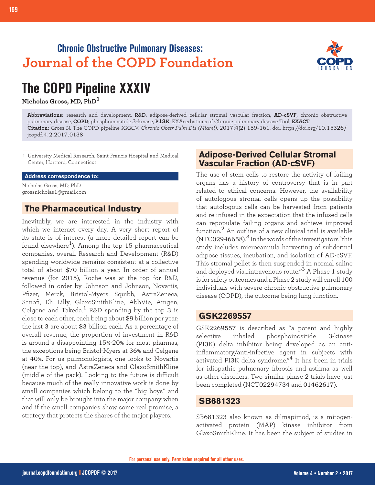## **Chronic Obstructive Pulmonary Diseases: Journal of the COPD Foundation**



# **The COPD Pipeline XXXIV**

**Nicholas Gross, MD, PhD<sup>1</sup>**

**Abbreviations:** research and development, **R&D**; adipose-derived cellular stromal vascular fraction, **AD-cSVF**; chronic obstructive pulmonary disease, **COPD**; phosphoinositide 3-kinase, **P13K**; EXAcerbations of Chronic pulmonary disease Tool, **EXACT Citation:** Gross N. The COPD pipeline XXXIV. *Chronic Obstr Pulm Dis (Miami)*. 2017;4(2):159-161. doi: https://doi.org/10.15326/ jcopdf.4.2.2017.0138

1 University Medical Research, Saint Francis Hospital and Medical Center, Hartford, Connecticut

#### **Address correspondence to:**

Nicholas Gross, MD, PhD grossnicholas1@gmail.com

#### **The Pharmaceutical Industry**

Inevitably, we are interested in the industry with which we interact every day. A very short report of its state is of interest (a more detailed report can be found elsewhere<sup>1</sup>). Among the top 15 pharmaceutical companies, overall Research and Development (R&D) spending worldwide remains consistent at a collective total of about \$70 billion a year. In order of annual revenue (for 2015), Roche was at the top for R&D, followed in order by Johnson and Johnson, Novartis, Pfizer, Merck, Bristol-Myers Squibb, AstraZeneca, Sanofi, Eli Lilly, GlaxoSmithKline, AbbVie, Amgen, Celgene and Takeda.<sup>1</sup> R&D spending by the top  $3$  is close to each other, each being about \$9 billion per year; the last 3 are about \$3 billion each. As a percentage of overall revenue, the proportion of investment in R&D is around a disappointing 15%-20% for most pharmas, the exceptions being Bristol-Myers at 36% and Celgene at 40%. For us pulmonologists, one looks to Novartis (near the top), and AstraZeneca and GlaxoSmithKline (middle of the pack). Looking to the future is difficult because much of the really innovative work is done by small companies which belong to the "big boys" and that will only be brought into the major company when and if the small companies show some real promise, a strategy that protects the shares of the major players.

### **Adipose-Derived Cellular Stromal Vascular Fraction (AD-cSVF)**

The use of stem cells to restore the activity of failing organs has a history of controversy that is in part related to ethical concerns. However, the availability of autologous stromal cells opens up the possibility that autologous cells can be harvested from patients and re-infused in the expectation that the infused cells can repopulate failing organs and achieve improved function. $^2$  An outline of a new clinical trial is available (NTC02946658). $^3$  In the words of the investigators "this study includes microcannula harvesting of subdermal adipose tissues, incubation, and isolation of AD-cSVF. This stromal pellet is then suspended in normal saline and deployed via...intravenous route."<sup>3</sup> A Phase 1 study is for safety outcomes and a Phase 2 study will enroll 100 individuals with severe chronic obstructive pulmonary disease (COPD), the outcome being lung function.

#### **GSK2269557**

GSK2269557 is described as "a potent and highly selective inhaled phosphoinositide 3-kinase (PI3K) delta inhibitor being developed as an antiinflammatory/anti-infective agent in subjects with activated PI3K delta syndrome."<sup>4</sup> It has been in trials for idiopathic pulmonary fibrosis and asthma as well as other disorders. Two similar phase 2 trials have just been completed (NCT02294734 and 01462617).

#### **SB681323**

SB681323 also known as dilmapimod, is a mitogenactivated protein (MAP) kinase inhibitor from GlaxoSmithKline. It has been the subject of studies in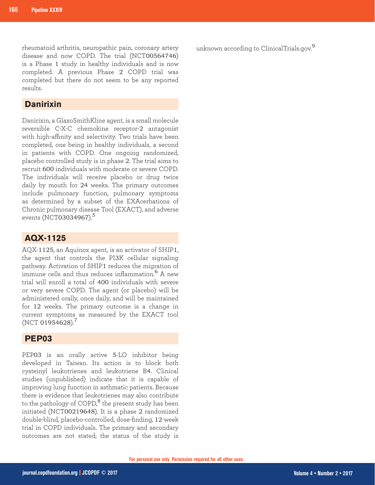rheumatoid arthritis, neuropathic pain, coronary artery disease and now COPD. The trial (NCT00564746) is a Phase 1 study in healthy individuals and is now completed. A previous Phase 2 COPD trial was completed but there do not seem to be any reported results.

#### **Danirixin**

Danirixin, a GlaxoSmithKline agent, is a small molecule reversible C-X-C chemokine receptor-2 antagonist with high-affinity and selectivity. Two trials have been completed, one being in healthy individuals, a second in patients with COPD. One ongoing randomized, placebo controlled study is in phase 2. The trial aims to recruit 600 individuals with moderate or severe COPD. The individuals will receive placebo or drug twice daily by mouth for 24 weeks. The primary outcomes include pulmonary function, pulmonary symptoms as determined by a subset of the EXAcerbations of Chronic pulmonary disease Tool (EXACT), and adverse events (NCT03034967).<sup>5</sup>

#### **AQX-1125**

AQX-1125, an Aquinox agent, is an activator of SHIP1, the agent that controls the PI3K cellular signaling pathway. Activation of SHIP1 reduces the migration of immune cells and thus reduces inflammation.<sup>6</sup> A new trial will enroll a total of 400 individuals with severe or very severe COPD. The agent (or placebo) will be administered orally, once daily, and will be maintained for 12 weeks. The primary outcome is a change in current symptoms as measured by the EXACT tool  $(NCT 01954628).$ 

#### **PEP03**

PEP03 is an orally active 5-LO inhibitor being developed in Taiwan. Its action is to block both cysteinyl leukotrienes and leukotriene B4. Clinical studies (unpublished) indicate that it is capable of improving lung function in asthmatic patients. Because there is evidence that leukotrienes may also contribute to the pathology of COPD, $^8$  the present study has been initiated (NCT00219648). It is a phase 2 randomized double-blind, placebo-controlled, dose-finding, 12-week trial in COPD individuals. The primary and secondary outcomes are not stated; the status of the study is

unknown according to ClinicalTrials.gov.<sup>9</sup>